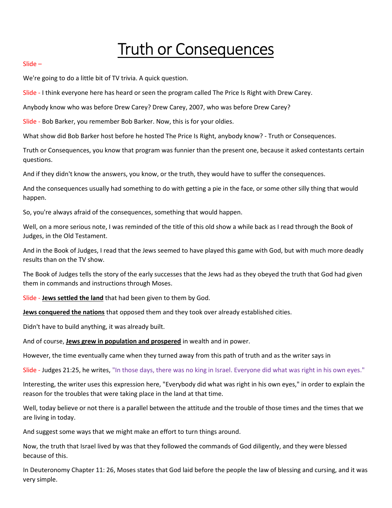# Truth or Consequences

## Slide –

We're going to do a little bit of TV trivia. A quick question.

Slide - I think everyone here has heard or seen the program called The Price Is Right with Drew Carey.

Anybody know who was before Drew Carey? Drew Carey, 2007, who was before Drew Carey?

Slide - Bob Barker, you remember Bob Barker. Now, this is for your oldies.

What show did Bob Barker host before he hosted The Price Is Right, anybody know? - Truth or Consequences.

Truth or Consequences, you know that program was funnier than the present one, because it asked contestants certain questions.

And if they didn't know the answers, you know, or the truth, they would have to suffer the consequences.

And the consequences usually had something to do with getting a pie in the face, or some other silly thing that would happen.

So, you're always afraid of the consequences, something that would happen.

Well, on a more serious note, I was reminded of the title of this old show a while back as I read through the Book of Judges, in the Old Testament.

And in the Book of Judges, I read that the Jews seemed to have played this game with God, but with much more deadly results than on the TV show.

The Book of Judges tells the story of the early successes that the Jews had as they obeyed the truth that God had given them in commands and instructions through Moses.

Slide - Jews settled the land that had been given to them by God.

Jews conquered the nations that opposed them and they took over already established cities.

Didn't have to build anything, it was already built.

And of course, **Jews grew in population and prospered** in wealth and in power.

However, the time eventually came when they turned away from this path of truth and as the writer says in

Slide - Judges 21:25, he writes, "In those days, there was no king in Israel. Everyone did what was right in his own eyes."

Interesting, the writer uses this expression here, "Everybody did what was right in his own eyes," in order to explain the reason for the troubles that were taking place in the land at that time.

Well, today believe or not there is a parallel between the attitude and the trouble of those times and the times that we are living in today.

And suggest some ways that we might make an effort to turn things around.

Now, the truth that Israel lived by was that they followed the commands of God diligently, and they were blessed because of this.

In Deuteronomy Chapter 11: 26, Moses states that God laid before the people the law of blessing and cursing, and it was very simple.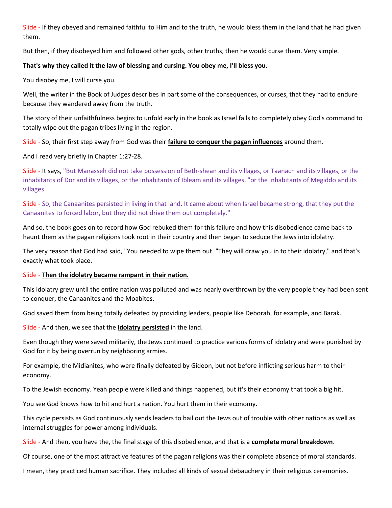Slide - If they obeyed and remained faithful to Him and to the truth, he would bless them in the land that he had given them.

But then, if they disobeyed him and followed other gods, other truths, then he would curse them. Very simple.

# That's why they called it the law of blessing and cursing. You obey me, I'll bless you.

You disobey me, I will curse you.

Well, the writer in the Book of Judges describes in part some of the consequences, or curses, that they had to endure because they wandered away from the truth.

The story of their unfaithfulness begins to unfold early in the book as Israel fails to completely obey God's command to totally wipe out the pagan tribes living in the region.

Slide - So, their first step away from God was their failure to conquer the pagan influences around them.

And I read very briefly in Chapter 1:27-28.

Slide - It says, "But Manasseh did not take possession of Beth-shean and its villages, or Taanach and its villages, or the inhabitants of Dor and its villages, or the inhabitants of Ibleam and its villages, "or the inhabitants of Megiddo and its villages.

Slide - So, the Canaanites persisted in living in that land. It came about when Israel became strong, that they put the Canaanites to forced labor, but they did not drive them out completely."

And so, the book goes on to record how God rebuked them for this failure and how this disobedience came back to haunt them as the pagan religions took root in their country and then began to seduce the Jews into idolatry.

The very reason that God had said, "You needed to wipe them out. "They will draw you in to their idolatry," and that's exactly what took place.

## Slide - Then the idolatry became rampant in their nation.

This idolatry grew until the entire nation was polluted and was nearly overthrown by the very people they had been sent to conquer, the Canaanites and the Moabites.

God saved them from being totally defeated by providing leaders, people like Deborah, for example, and Barak.

Slide - And then, we see that the *idolatry persisted* in the land.

Even though they were saved militarily, the Jews continued to practice various forms of idolatry and were punished by God for it by being overrun by neighboring armies.

For example, the Midianites, who were finally defeated by Gideon, but not before inflicting serious harm to their economy.

To the Jewish economy. Yeah people were killed and things happened, but it's their economy that took a big hit.

You see God knows how to hit and hurt a nation. You hurt them in their economy.

This cycle persists as God continuously sends leaders to bail out the Jews out of trouble with other nations as well as internal struggles for power among individuals.

Slide - And then, you have the, the final stage of this disobedience, and that is a complete moral breakdown.

Of course, one of the most attractive features of the pagan religions was their complete absence of moral standards.

I mean, they practiced human sacrifice. They included all kinds of sexual debauchery in their religious ceremonies.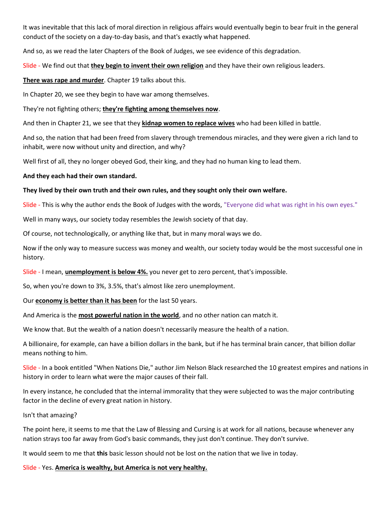It was inevitable that this lack of moral direction in religious affairs would eventually begin to bear fruit in the general conduct of the society on a day-to-day basis, and that's exactly what happened.

And so, as we read the later Chapters of the Book of Judges, we see evidence of this degradation.

Slide - We find out that they begin to invent their own religion and they have their own religious leaders.

There was rape and murder. Chapter 19 talks about this.

In Chapter 20, we see they begin to have war among themselves.

They're not fighting others; they're fighting among themselves now.

And then in Chapter 21, we see that they kidnap women to replace wives who had been killed in battle.

And so, the nation that had been freed from slavery through tremendous miracles, and they were given a rich land to inhabit, were now without unity and direction, and why?

Well first of all, they no longer obeyed God, their king, and they had no human king to lead them.

And they each had their own standard.

## They lived by their own truth and their own rules, and they sought only their own welfare.

Slide - This is why the author ends the Book of Judges with the words, "Everyone did what was right in his own eyes."

Well in many ways, our society today resembles the Jewish society of that day.

Of course, not technologically, or anything like that, but in many moral ways we do.

Now if the only way to measure success was money and wealth, our society today would be the most successful one in history.

Slide - I mean, **unemployment is below 4%** you never get to zero percent, that's impossible.

So, when you're down to 3%, 3.5%, that's almost like zero unemployment.

Our economy is better than it has been for the last 50 years.

And America is the most powerful nation in the world, and no other nation can match it.

We know that. But the wealth of a nation doesn't necessarily measure the health of a nation.

A billionaire, for example, can have a billion dollars in the bank, but if he has terminal brain cancer, that billion dollar means nothing to him.

Slide - In a book entitled "When Nations Die," author Jim Nelson Black researched the 10 greatest empires and nations in history in order to learn what were the major causes of their fall.

In every instance, he concluded that the internal immorality that they were subjected to was the major contributing factor in the decline of every great nation in history.

Isn't that amazing?

The point here, it seems to me that the Law of Blessing and Cursing is at work for all nations, because whenever any nation strays too far away from God's basic commands, they just don't continue. They don't survive.

It would seem to me that this basic lesson should not be lost on the nation that we live in today.

Slide - Yes. America is wealthy, but America is not very healthy.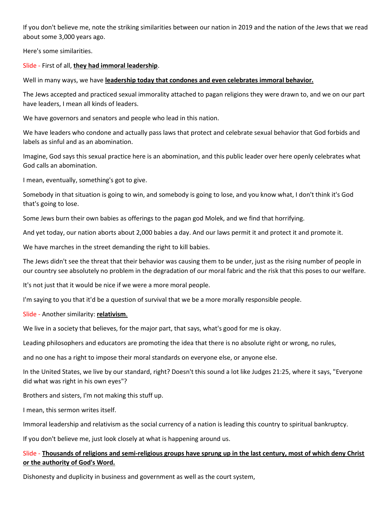If you don't believe me, note the striking similarities between our nation in 2019 and the nation of the Jews that we read about some 3,000 years ago.

Here's some similarities.

# Slide - First of all, they had immoral leadership.

Well in many ways, we have leadership today that condones and even celebrates immoral behavior.

The Jews accepted and practiced sexual immorality attached to pagan religions they were drawn to, and we on our part have leaders, I mean all kinds of leaders.

We have governors and senators and people who lead in this nation.

We have leaders who condone and actually pass laws that protect and celebrate sexual behavior that God forbids and labels as sinful and as an abomination.

Imagine, God says this sexual practice here is an abomination, and this public leader over here openly celebrates what God calls an abomination.

I mean, eventually, something's got to give.

Somebody in that situation is going to win, and somebody is going to lose, and you know what, I don't think it's God that's going to lose.

Some Jews burn their own babies as offerings to the pagan god Molek, and we find that horrifying.

And yet today, our nation aborts about 2,000 babies a day. And our laws permit it and protect it and promote it.

We have marches in the street demanding the right to kill babies.

The Jews didn't see the threat that their behavior was causing them to be under, just as the rising number of people in our country see absolutely no problem in the degradation of our moral fabric and the risk that this poses to our welfare.

It's not just that it would be nice if we were a more moral people.

I'm saying to you that it'd be a question of survival that we be a more morally responsible people.

Slide - Another similarity: relativism.

We live in a society that believes, for the major part, that says, what's good for me is okay.

Leading philosophers and educators are promoting the idea that there is no absolute right or wrong, no rules,

and no one has a right to impose their moral standards on everyone else, or anyone else.

In the United States, we live by our standard, right? Doesn't this sound a lot like Judges 21:25, where it says, "Everyone did what was right in his own eyes"?

Brothers and sisters, I'm not making this stuff up.

I mean, this sermon writes itself.

Immoral leadership and relativism as the social currency of a nation is leading this country to spiritual bankruptcy.

If you don't believe me, just look closely at what is happening around us.

# Slide - Thousands of religions and semi-religious groups have sprung up in the last century, most of which deny Christ or the authority of God's Word.

Dishonesty and duplicity in business and government as well as the court system,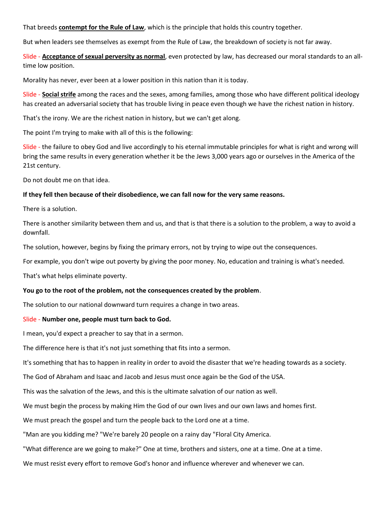That breeds contempt for the Rule of Law, which is the principle that holds this country together.

But when leaders see themselves as exempt from the Rule of Law, the breakdown of society is not far away.

Slide - **Acceptance of sexual perversity as normal**, even protected by law, has decreased our moral standards to an alltime low position.

Morality has never, ever been at a lower position in this nation than it is today.

Slide - Social strife among the races and the sexes, among families, among those who have different political ideology has created an adversarial society that has trouble living in peace even though we have the richest nation in history.

That's the irony. We are the richest nation in history, but we can't get along.

The point I'm trying to make with all of this is the following:

Slide - the failure to obey God and live accordingly to his eternal immutable principles for what is right and wrong will bring the same results in every generation whether it be the Jews 3,000 years ago or ourselves in the America of the 21st century.

Do not doubt me on that idea.

## If they fell then because of their disobedience, we can fall now for the very same reasons.

There is a solution.

There is another similarity between them and us, and that is that there is a solution to the problem, a way to avoid a downfall.

The solution, however, begins by fixing the primary errors, not by trying to wipe out the consequences.

For example, you don't wipe out poverty by giving the poor money. No, education and training is what's needed.

That's what helps eliminate poverty.

## You go to the root of the problem, not the consequences created by the problem.

The solution to our national downward turn requires a change in two areas.

## Slide - Number one, people must turn back to God.

I mean, you'd expect a preacher to say that in a sermon.

The difference here is that it's not just something that fits into a sermon.

It's something that has to happen in reality in order to avoid the disaster that we're heading towards as a society.

The God of Abraham and Isaac and Jacob and Jesus must once again be the God of the USA.

This was the salvation of the Jews, and this is the ultimate salvation of our nation as well.

We must begin the process by making Him the God of our own lives and our own laws and homes first.

We must preach the gospel and turn the people back to the Lord one at a time.

"Man are you kidding me? "We're barely 20 people on a rainy day "Floral City America.

"What difference are we going to make?" One at time, brothers and sisters, one at a time. One at a time.

We must resist every effort to remove God's honor and influence wherever and whenever we can.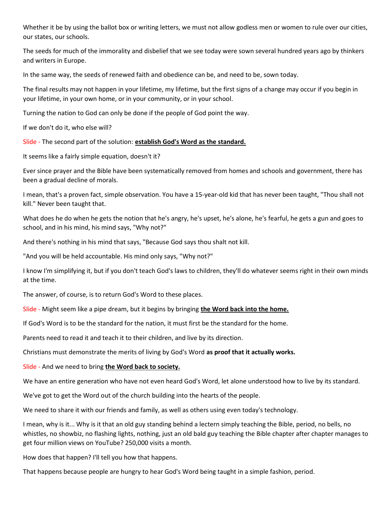Whether it be by using the ballot box or writing letters, we must not allow godless men or women to rule over our cities, our states, our schools.

The seeds for much of the immorality and disbelief that we see today were sown several hundred years ago by thinkers and writers in Europe.

In the same way, the seeds of renewed faith and obedience can be, and need to be, sown today.

The final results may not happen in your lifetime, my lifetime, but the first signs of a change may occur if you begin in your lifetime, in your own home, or in your community, or in your school.

Turning the nation to God can only be done if the people of God point the way.

If we don't do it, who else will?

Slide - The second part of the solution: establish God's Word as the standard.

It seems like a fairly simple equation, doesn't it?

Ever since prayer and the Bible have been systematically removed from homes and schools and government, there has been a gradual decline of morals.

I mean, that's a proven fact, simple observation. You have a 15-year-old kid that has never been taught, "Thou shall not kill." Never been taught that.

What does he do when he gets the notion that he's angry, he's upset, he's alone, he's fearful, he gets a gun and goes to school, and in his mind, his mind says, "Why not?"

And there's nothing in his mind that says, "Because God says thou shalt not kill.

"And you will be held accountable. His mind only says, "Why not?"

I know I'm simplifying it, but if you don't teach God's laws to children, they'll do whatever seems right in their own minds at the time.

The answer, of course, is to return God's Word to these places.

Slide - Might seem like a pipe dream, but it begins by bringing the Word back into the home.

If God's Word is to be the standard for the nation, it must first be the standard for the home.

Parents need to read it and teach it to their children, and live by its direction.

Christians must demonstrate the merits of living by God's Word as proof that it actually works.

Slide - And we need to bring the Word back to society.

We have an entire generation who have not even heard God's Word, let alone understood how to live by its standard.

We've got to get the Word out of the church building into the hearts of the people.

We need to share it with our friends and family, as well as others using even today's technology.

I mean, why is it... Why is it that an old guy standing behind a lectern simply teaching the Bible, period, no bells, no whistles, no showbiz, no flashing lights, nothing, just an old bald guy teaching the Bible chapter after chapter manages to get four million views on YouTube? 250,000 visits a month.

How does that happen? I'll tell you how that happens.

That happens because people are hungry to hear God's Word being taught in a simple fashion, period.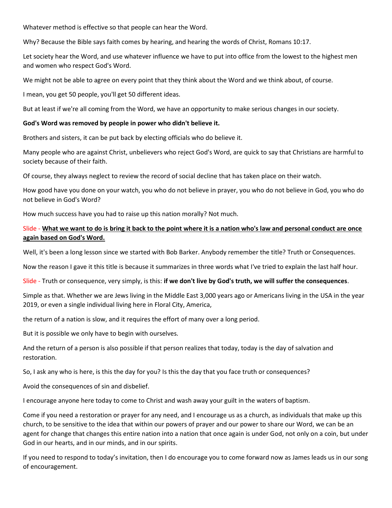Whatever method is effective so that people can hear the Word.

Why? Because the Bible says faith comes by hearing, and hearing the words of Christ, Romans 10:17.

Let society hear the Word, and use whatever influence we have to put into office from the lowest to the highest men and women who respect God's Word.

We might not be able to agree on every point that they think about the Word and we think about, of course.

I mean, you get 50 people, you'll get 50 different ideas.

But at least if we're all coming from the Word, we have an opportunity to make serious changes in our society.

## God's Word was removed by people in power who didn't believe it.

Brothers and sisters, it can be put back by electing officials who do believe it.

Many people who are against Christ, unbelievers who reject God's Word, are quick to say that Christians are harmful to society because of their faith.

Of course, they always neglect to review the record of social decline that has taken place on their watch.

How good have you done on your watch, you who do not believe in prayer, you who do not believe in God, you who do not believe in God's Word?

How much success have you had to raise up this nation morally? Not much.

# Slide - What we want to do is bring it back to the point where it is a nation who's law and personal conduct are once again based on God's Word.

Well, it's been a long lesson since we started with Bob Barker. Anybody remember the title? Truth or Consequences.

Now the reason I gave it this title is because it summarizes in three words what I've tried to explain the last half hour.

Slide - Truth or consequence, very simply, is this: if we don't live by God's truth, we will suffer the consequences.

Simple as that. Whether we are Jews living in the Middle East 3,000 years ago or Americans living in the USA in the year 2019, or even a single individual living here in Floral City, America,

the return of a nation is slow, and it requires the effort of many over a long period.

But it is possible we only have to begin with ourselves.

And the return of a person is also possible if that person realizes that today, today is the day of salvation and restoration.

So, I ask any who is here, is this the day for you? Is this the day that you face truth or consequences?

Avoid the consequences of sin and disbelief.

I encourage anyone here today to come to Christ and wash away your guilt in the waters of baptism.

Come if you need a restoration or prayer for any need, and I encourage us as a church, as individuals that make up this church, to be sensitive to the idea that within our powers of prayer and our power to share our Word, we can be an agent for change that changes this entire nation into a nation that once again is under God, not only on a coin, but under God in our hearts, and in our minds, and in our spirits.

If you need to respond to today's invitation, then I do encourage you to come forward now as James leads us in our song of encouragement.